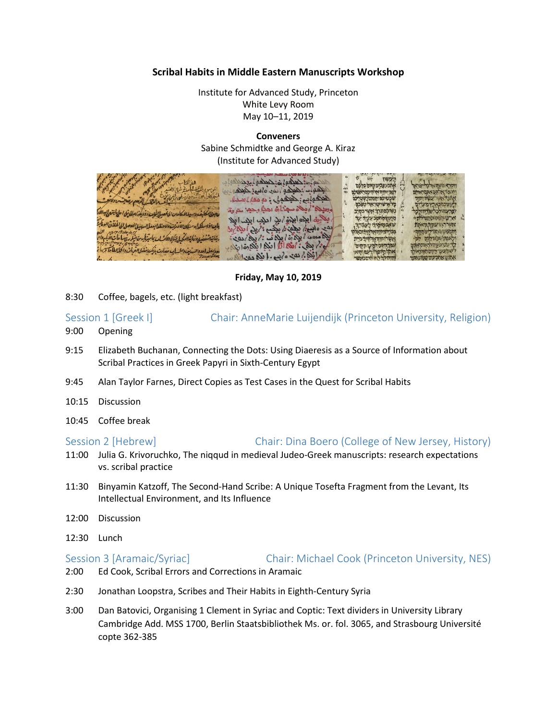### **Scribal Habits in Middle Eastern Manuscripts Workshop**

Institute for Advanced Study, Princeton White Levy Room May 10–11, 2019

**Conveners** Sabine Schmidtke and George A. Kiraz (Institute for Advanced Study)

|                                                                                    |                                                                |                                | <b>And the contract of the contract of the contract of the contract of the contract of the contract of the contract of the contract of the contract of the contract of the contract of the contract of the contract of the contr</b> |  |
|------------------------------------------------------------------------------------|----------------------------------------------------------------|--------------------------------|--------------------------------------------------------------------------------------------------------------------------------------------------------------------------------------------------------------------------------------|--|
| in the first page of the first                                                     | Les la Culcalis colas la                                       |                                |                                                                                                                                                                                                                                      |  |
| لموسوم السلطاعقة شج الالعنير                                                       |                                                                | אתה כעלים וזיום כלכם           | ויקרא משחאל ללשראל                                                                                                                                                                                                                   |  |
|                                                                                    | الحقاب : هلعه المده المع: لمعلم                                | רפוני החוה אל היכס ראש         | יאתר איתם אתמראיתם                                                                                                                                                                                                                   |  |
| والمعدن عهد العام العم عاجب والالعث                                                | هيكوبابع: هيكوبي : دو معالم سدا.                               | שכטיכס ואורגו שטרינה           |                                                                                                                                                                                                                                      |  |
|                                                                                    |                                                                | ר ארשוישוראה טפכם              |                                                                                                                                                                                                                                      |  |
| ماصلا سكيف وسيد المسلمان المانصول تفليت ووديف البارق اعلى ابنع العدالا             | وجحيلا الموجاه مجالة احلي وحجزتم وقد                           | נשיכסתרך אשר בקרב              |                                                                                                                                                                                                                                      |  |
|                                                                                    | ريكارة ابله ابلغ/ بل الله ابل الله                             | מחניך מחטב עציר ער             | ארעיהמסתחנתולת                                                                                                                                                                                                                       |  |
| بالمناذاسك بسكة للاندر والاحظان سالا يسالوه والالفلاق العفاجة                      |                                                                | שאבמיקיף העברן                 | אישר האי שעוקטאתה                                                                                                                                                                                                                    |  |
|                                                                                    | لِلْهِ وَابِعِيمُ بِعِيْهِ مِنْ بِعِيْبِ : 'رَبِي اللَّهِ مِنْ |                                | <b>BUDDY MULTIPET</b>                                                                                                                                                                                                                |  |
| يناني المفضود نبابن المكي إيفان اللائث استاليزنا بين انبكر مقد بالمعاني الألبه حام | م المعاهد المحارة المحالف :/ يم / مع:                          |                                | אטט וההדמ לכ                                                                                                                                                                                                                         |  |
|                                                                                    |                                                                | אֲשֶׁרוּחְוָהָאֱלְהּרְבָיְכִית |                                                                                                                                                                                                                                      |  |
|                                                                                    |                                                                | עמר היום למעות קום             |                                                                                                                                                                                                                                      |  |
| مدايعله اعدد السابغ والحساب نعات بذك افضا الغرمات والحلابطاعا تربهاء               |                                                                | אתר היוסורו לעס והוא           | מעער הקסחוותאל                                                                                                                                                                                                                       |  |
|                                                                                    | المكانية في عدد ونسع الملكة وعندالله                           |                                | את את עוס שנה מא                                                                                                                                                                                                                     |  |
|                                                                                    |                                                                |                                |                                                                                                                                                                                                                                      |  |

### **Friday, May 10, 2019**

8:30 Coffee, bagels, etc. (light breakfast)

# Session 1 [Greek I] Chair: AnneMarie Luijendijk (Princeton University, Religion) 9:00 Opening

- 9:15 Elizabeth Buchanan, Connecting the Dots: Using Diaeresis as a Source of Information about Scribal Practices in Greek Papyri in Sixth-Century Egypt
- 9:45 Alan Taylor Farnes, Direct Copies as Test Cases in the Quest for Scribal Habits
- 10:15 Discussion
- 10:45 Coffee break

### Session 2 [Hebrew] Chair: Dina Boero (College of New Jersey, History)

- 11:00 Julia G. Krivoruchko, The niqqud in medieval Judeo-Greek manuscripts: research expectations vs. scribal practice
- 11:30 Binyamin Katzoff, The Second-Hand Scribe: A Unique Tosefta Fragment from the Levant, Its Intellectual Environment, and Its Influence
- 12:00 Discussion
- 12:30 Lunch

Session 3 [Aramaic/Syriac] Chair: Michael Cook (Princeton University, NES)

- 2:00 Ed Cook, Scribal Errors and Corrections in Aramaic
- 2:30 Jonathan Loopstra, Scribes and Their Habits in Eighth-Century Syria
- 3:00 Dan Batovici, Organising 1 Clement in Syriac and Coptic: Text dividers in University Library Cambridge Add. MSS 1700, Berlin Staatsbibliothek Ms. or. fol. 3065, and Strasbourg Université copte 362-385